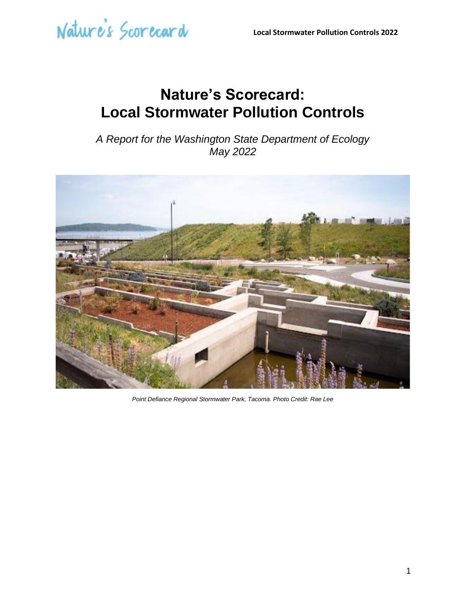### **Nature's Scorecard: Local Stormwater Pollution Controls**

*A Report for the Washington State Department of Ecology May 2022*



*Point Defiance Regional Stormwater Park, Tacoma. Photo Credit: Rae Lee*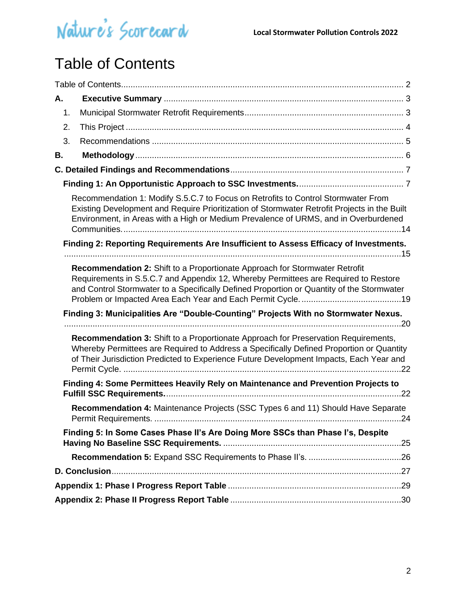

### <span id="page-1-0"></span>Table of Contents

| А. |                                                                                                                                                                                                                                                                           |  |
|----|---------------------------------------------------------------------------------------------------------------------------------------------------------------------------------------------------------------------------------------------------------------------------|--|
| 1. |                                                                                                                                                                                                                                                                           |  |
| 2. |                                                                                                                                                                                                                                                                           |  |
| 3. |                                                                                                                                                                                                                                                                           |  |
| В. |                                                                                                                                                                                                                                                                           |  |
|    |                                                                                                                                                                                                                                                                           |  |
|    |                                                                                                                                                                                                                                                                           |  |
|    | Recommendation 1: Modify S.5.C.7 to Focus on Retrofits to Control Stormwater From<br>Existing Development and Require Prioritization of Stormwater Retrofit Projects in the Built<br>Environment, in Areas with a High or Medium Prevalence of URMS, and in Overburdened  |  |
|    | Finding 2: Reporting Requirements Are Insufficient to Assess Efficacy of Investments.                                                                                                                                                                                     |  |
|    | Recommendation 2: Shift to a Proportionate Approach for Stormwater Retrofit<br>Requirements in S.5.C.7 and Appendix 12, Whereby Permittees are Required to Restore<br>and Control Stormwater to a Specifically Defined Proportion or Quantity of the Stormwater           |  |
|    | Finding 3: Municipalities Are "Double-Counting" Projects With no Stormwater Nexus.                                                                                                                                                                                        |  |
|    | Recommendation 3: Shift to a Proportionate Approach for Preservation Requirements,<br>Whereby Permittees are Required to Address a Specifically Defined Proportion or Quantity<br>of Their Jurisdiction Predicted to Experience Future Development Impacts, Each Year and |  |
|    | Finding 4: Some Permittees Heavily Rely on Maintenance and Prevention Projects to                                                                                                                                                                                         |  |
|    | Recommendation 4: Maintenance Projects (SSC Types 6 and 11) Should Have Separate<br>Permit Requirements.                                                                                                                                                                  |  |
|    | Finding 5: In Some Cases Phase II's Are Doing More SSCs than Phase I's, Despite                                                                                                                                                                                           |  |
|    |                                                                                                                                                                                                                                                                           |  |
|    |                                                                                                                                                                                                                                                                           |  |
|    |                                                                                                                                                                                                                                                                           |  |
|    |                                                                                                                                                                                                                                                                           |  |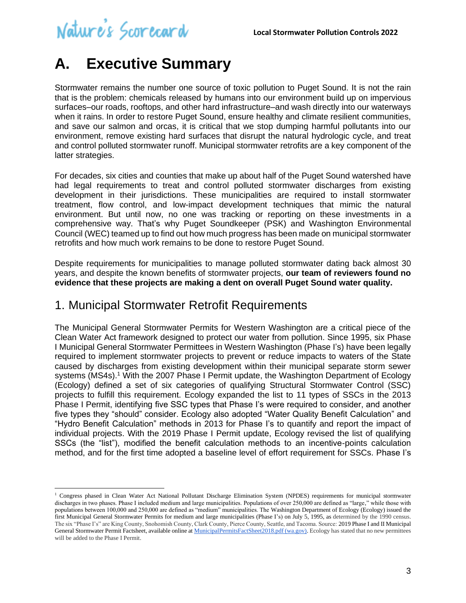### <span id="page-2-0"></span>**A. Executive Summary**

Stormwater remains the number one source of toxic pollution to Puget Sound. It is not the rain that is the problem: chemicals released by humans into our environment build up on impervious surfaces–our roads, rooftops, and other hard infrastructure–and wash directly into our waterways when it rains. In order to restore Puget Sound, ensure healthy and climate resilient communities, and save our salmon and orcas, it is critical that we stop dumping harmful pollutants into our environment, remove existing hard surfaces that disrupt the natural hydrologic cycle, and treat and control polluted stormwater runoff. Municipal stormwater retrofits are a key component of the latter strategies.

For decades, six cities and counties that make up about half of the Puget Sound watershed have had legal requirements to treat and control polluted stormwater discharges from existing development in their jurisdictions. These municipalities are required to install stormwater treatment, flow control, and low-impact development techniques that mimic the natural environment. But until now, no one was tracking or reporting on these investments in a comprehensive way. That's why Puget Soundkeeper (PSK) and Washington Environmental Council (WEC) teamed up to find out how much progress has been made on municipal stormwater retrofits and how much work remains to be done to restore Puget Sound.

Despite requirements for municipalities to manage polluted stormwater dating back almost 30 years, and despite the known benefits of stormwater projects, **our team of reviewers found no evidence that these projects are making a dent on overall Puget Sound water quality.**

### <span id="page-2-1"></span>1. Municipal Stormwater Retrofit Requirements

The Municipal General Stormwater Permits for Western Washington are a critical piece of the Clean Water Act framework designed to protect our water from pollution. Since 1995, six Phase I Municipal General Stormwater Permittees in Western Washington (Phase I's) have been legally required to implement stormwater projects to prevent or reduce impacts to waters of the State caused by discharges from existing development within their municipal separate storm sewer systems (MS4s).<sup>1</sup> With the 2007 Phase I Permit update, the Washington Department of Ecology (Ecology) defined a set of six categories of qualifying Structural Stormwater Control (SSC) projects to fulfill this requirement. Ecology expanded the list to 11 types of SSCs in the 2013 Phase I Permit, identifying five SSC types that Phase I's were required to consider, and another five types they "should" consider. Ecology also adopted "Water Quality Benefit Calculation" and "Hydro Benefit Calculation" methods in 2013 for Phase I's to quantify and report the impact of individual projects. With the 2019 Phase I Permit update, Ecology revised the list of qualifying SSCs (the "list"), modified the benefit calculation methods to an incentive-points calculation method, and for the first time adopted a baseline level of effort requirement for SSCs. Phase I's

<sup>&</sup>lt;sup>1</sup> Congress phased in Clean Water Act National Pollutant Discharge Elimination System (NPDES) requirements for municipal stormwater discharges in two phases. Phase I included medium and large municipalities. Populations of over 250,000 are defined as "large," while those with populations between 100,000 and 250,000 are defined as "medium" municipalities. The Washington Department of Ecology (Ecology) issued the first Municipal General Stormwater Permits for medium and large municipalities (Phase I's) on July 5, 1995, as determined by the 1990 census. The six "Phase I's" are King County, Snohomish County, Clark County, Pierce County, Seattle, and Tacoma. Source: 2019 Phase I and II Municipal General Stormwater Permit Factsheet, available online a[t MunicipalPermitsFactSheet2018.pdf \(wa.gov\).](https://fortress.wa.gov/ecy/ezshare/wq/permits/MunicipalPermitsFactSheet2018.pdf) Ecology has stated that no new permittees will be added to the Phase I Permit.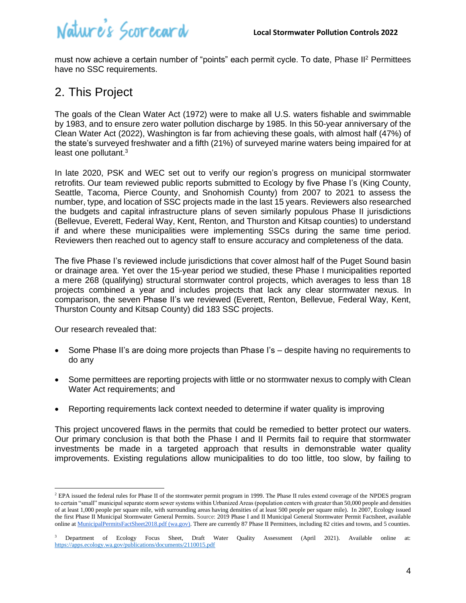must now achieve a certain number of "points" each permit cycle. To date, Phase II<sup>2</sup> Permittees have no SSC requirements.

### <span id="page-3-0"></span>2. This Project

The goals of the Clean Water Act (1972) were to make all U.S. waters fishable and swimmable by 1983, and to ensure zero water pollution discharge by 1985. In this 50-year anniversary of the Clean Water Act (2022), Washington is far from achieving these goals, with almost half (47%) of the state's surveyed freshwater and a fifth (21%) of surveyed marine waters being impaired for at least one pollutant.<sup>3</sup>

In late 2020, PSK and WEC set out to verify our region's progress on municipal stormwater retrofits. Our team reviewed public reports submitted to Ecology by five Phase I's (King County, Seattle, Tacoma, Pierce County, and Snohomish County) from 2007 to 2021 to assess the number, type, and location of SSC projects made in the last 15 years. Reviewers also researched the budgets and capital infrastructure plans of seven similarly populous Phase II jurisdictions (Bellevue, Everett, Federal Way, Kent, Renton, and Thurston and Kitsap counties) to understand if and where these municipalities were implementing SSCs during the same time period. Reviewers then reached out to agency staff to ensure accuracy and completeness of the data.

The five Phase I's reviewed include jurisdictions that cover almost half of the Puget Sound basin or drainage area. Yet over the 15-year period we studied, these Phase I municipalities reported a mere 268 (qualifying) structural stormwater control projects, which averages to less than 18 projects combined a year and includes projects that lack any clear stormwater nexus. In comparison, the seven Phase II's we reviewed (Everett, Renton, Bellevue, Federal Way, Kent, Thurston County and Kitsap County) did 183 SSC projects.

Our research revealed that:

- Some Phase II's are doing more projects than Phase I's despite having no requirements to do any
- Some permittees are reporting projects with little or no stormwater nexus to comply with Clean Water Act requirements; and
- Reporting requirements lack context needed to determine if water quality is improving

This project uncovered flaws in the permits that could be remedied to better protect our waters. Our primary conclusion is that both the Phase I and II Permits fail to require that stormwater investments be made in a targeted approach that results in demonstrable water quality improvements. Existing regulations allow municipalities to do too little, too slow, by failing to

<sup>&</sup>lt;sup>2</sup> EPA issued the federal rules for Phase II of the stormwater permit program in 1999. The Phase II rules extend coverage of the NPDES program to certain "small" municipal separate storm sewer systems within Urbanized Areas (population centers with greater than 50,000 people and densities of at least 1,000 people per square mile, with surrounding areas having densities of at least 500 people per square mile). In 2007, Ecology issued the first Phase II Municipal Stormwater General Permits. Source: 2019 Phase I and II Municipal General Stormwater Permit Factsheet, available online at [MunicipalPermitsFactSheet2018.pdf \(wa.gov\).](https://fortress.wa.gov/ecy/ezshare/wq/permits/MunicipalPermitsFactSheet2018.pdf) There are currently 87 Phase II Permittees, including 82 cities and towns, and 5 counties.

<sup>3</sup> Department of Ecology Focus Sheet, Draft Water Quality Assessment (April 2021). Available online at: <https://apps.ecology.wa.gov/publications/documents/2110015.pdf>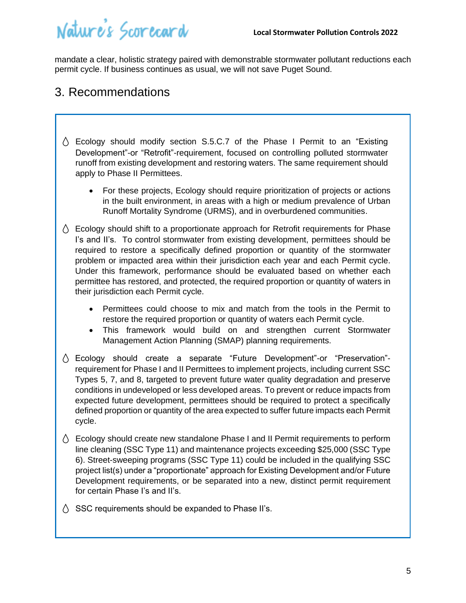mandate a clear, holistic strategy paired with demonstrable stormwater pollutant reductions each permit cycle. If business continues as usual, we will not save Puget Sound.

### <span id="page-4-0"></span>3. Recommendations

- $\Diamond$  Ecology should modify section S.5.C.7 of the Phase I Permit to an "Existing" Development"-or "Retrofit"-requirement, focused on controlling polluted stormwater runoff from existing development and restoring waters. The same requirement should apply to Phase II Permittees.
	- For these projects, Ecology should require prioritization of projects or actions in the built environment, in areas with a high or medium prevalence of Urban Runoff Mortality Syndrome (URMS), and in overburdened communities.
- $\Diamond$  Ecology should shift to a proportionate approach for Retrofit requirements for Phase I's and II's. To control stormwater from existing development, permittees should be required to restore a specifically defined proportion or quantity of the stormwater problem or impacted area within their jurisdiction each year and each Permit cycle. Under this framework, performance should be evaluated based on whether each permittee has restored, and protected, the required proportion or quantity of waters in their jurisdiction each Permit cycle.
	- Permittees could choose to mix and match from the tools in the Permit to restore the required proportion or quantity of waters each Permit cycle.
	- This framework would build on and strengthen current Stormwater Management Action Planning (SMAP) planning requirements.
- Ecology should create a separate "Future Development"-or "Preservation" requirement for Phase I and II Permittees to implement projects, including current SSC Types 5, 7, and 8, targeted to prevent future water quality degradation and preserve conditions in undeveloped or less developed areas. To prevent or reduce impacts from expected future development, permittees should be required to protect a specifically defined proportion or quantity of the area expected to suffer future impacts each Permit cycle.
- $\Diamond$  Ecology should create new standalone Phase I and II Permit requirements to perform line cleaning (SSC Type 11) and maintenance projects exceeding \$25,000 (SSC Type 6). Street-sweeping programs (SSC Type 11) could be included in the qualifying SSC project list(s) under a "proportionate" approach for Existing Development and/or Future Development requirements, or be separated into a new, distinct permit requirement for certain Phase I's and II's.
- $\wedge$  SSC requirements should be expanded to Phase II's.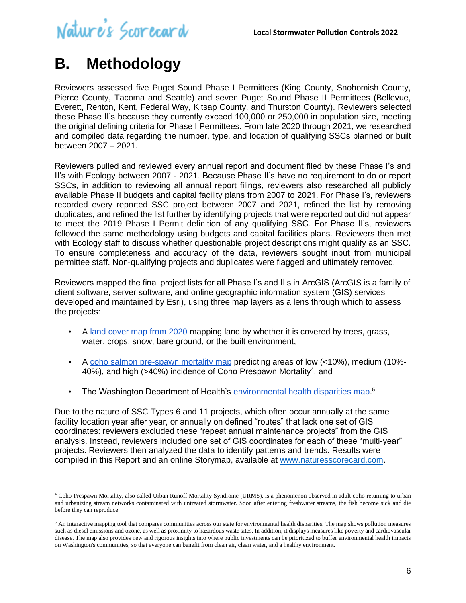### <span id="page-5-0"></span>**B. Methodology**

Reviewers assessed five Puget Sound Phase I Permittees (King County, Snohomish County, Pierce County, Tacoma and Seattle) and seven Puget Sound Phase II Permittees (Bellevue, Everett, Renton, Kent, Federal Way, Kitsap County, and Thurston County). Reviewers selected these Phase II's because they currently exceed 100,000 or 250,000 in population size, meeting the original defining criteria for Phase I Permittees. From late 2020 through 2021, we researched and compiled data regarding the number, type, and location of qualifying SSCs planned or built between 2007 – 2021.

Reviewers pulled and reviewed every annual report and document filed by these Phase I's and II's with Ecology between 2007 - 2021. Because Phase II's have no requirement to do or report SSCs, in addition to reviewing all annual report filings, reviewers also researched all publicly available Phase II budgets and capital facility plans from 2007 to 2021. For Phase I's, reviewers recorded every reported SSC project between 2007 and 2021, refined the list by removing duplicates, and refined the list further by identifying projects that were reported but did not appear to meet the 2019 Phase I Permit definition of any qualifying SSC. For Phase II's, reviewers followed the same methodology using budgets and capital facilities plans. Reviewers then met with Ecology staff to discuss whether questionable project descriptions might qualify as an SSC. To ensure completeness and accuracy of the data, reviewers sought input from municipal permittee staff. Non-qualifying projects and duplicates were flagged and ultimately removed.

Reviewers mapped the final project lists for all Phase I's and II's in ArcGIS (ArcGIS is a family of client software, server software, and online geographic information system (GIS) services developed and maintained by Esri), using three map layers as a lens through which to assess the projects:

- A [land cover map from 2020](https://na01.safelinks.protection.outlook.com/?url=https%3A%2F%2Fwww.esri.com%2Fabout%2Fnewsroom%2Fblog%2Fseeing-near-real-time-earth-changes%2F%23%3A~%3Atext%3DThe%2520Esri%25202020%2520Land-Cover%2520map%2520displays%2520ten%2520distinct%2Cthe%2520interactive%2520map.%2529%2520Watching%2520Changes%2520as%2520They%2520Occur&data=04%7C01%7C%7C27ab2fd28e8c43133f0908d9aee7d07e%7C84df9e7fe9f640afb435aaaaaaaaaaaa%7C1%7C0%7C637733133082094858%7CUnknown%7CTWFpbGZsb3d8eyJWIjoiMC4wLjAwMDAiLCJQIjoiV2luMzIiLCJBTiI6Ik1haWwiLCJXVCI6Mn0%3D%7C3000&sdata=8DOk9gm4BWWlkDMEpfb9qJKP7uxm00IZRJnIKrNUxsY%3D&reserved=0) mapping land by whether it is covered by trees, grass, water, crops, snow, bare ground, or the built environment,
- A [coho salmon pre-spawn mortality map](https://fws.maps.arcgis.com/apps/MapSeries/index.html?appid=5dd4a36a2a5148a28376a0b81726a9a4) predicting areas of low (<10%), medium (10%- 40%), and high (>40%) incidence of Coho Prespawn Mortality<sup>4</sup>, and
- The Washington Department of Health's [environmental health disparities map.](https://fortress.wa.gov/doh/wtn/WTNIBL/)<sup>5</sup>

Due to the nature of SSC Types 6 and 11 projects, which often occur annually at the same facility location year after year, or annually on defined "routes" that lack one set of GIS coordinates: reviewers excluded these "repeat annual maintenance projects" from the GIS analysis. Instead, reviewers included one set of GIS coordinates for each of these "multi-year" projects. Reviewers then analyzed the data to identify patterns and trends. Results were compiled in this Report and an online Storymap, available at [www.naturesscorecard.com.](http://www.naturesscorecard.com/)

<sup>4</sup> Coho Prespawn Mortality, also called Urban Runoff Mortality Syndrome (URMS), is a phenomenon observed in adult coho returning to urban and urbanizing stream networks contaminated with untreated stormwater. Soon after entering freshwater streams, the fish become sick and die before they can reproduce.

<sup>5</sup> An interactive mapping tool that compares communities across our state for environmental health disparities. The map shows pollution measures such as diesel emissions and ozone, as well as proximity to hazardous waste sites. In addition, it displays measures like poverty and cardiovascular disease. The map also provides new and rigorous insights into where public investments can be prioritized to buffer environmental health impacts on Washington's communities, so that everyone can benefit from clean air, clean water, and a healthy environment.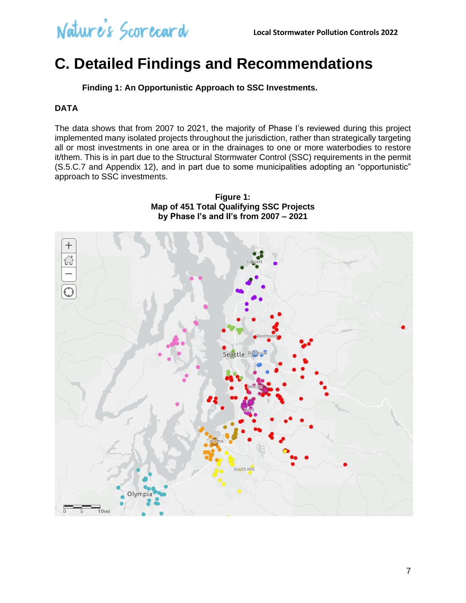### <span id="page-6-0"></span>**C. Detailed Findings and Recommendations**

**Finding 1: An Opportunistic Approach to SSC Investments.**

#### <span id="page-6-1"></span>**DATA**

The data shows that from 2007 to 2021, the majority of Phase I's reviewed during this project implemented many isolated projects throughout the jurisdiction, rather than strategically targeting all or most investments in one area or in the drainages to one or more waterbodies to restore it/them. This is in part due to the Structural Stormwater Control (SSC) requirements in the permit (S.5.C.7 and Appendix 12), and in part due to some municipalities adopting an "opportunistic" approach to SSC investments.

**Figure 1: Map of 451 Total Qualifying SSC Projects by Phase I's and II's from 2007 – 2021**

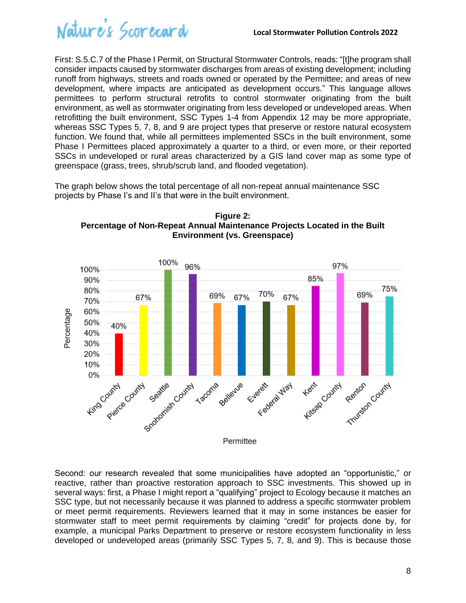

First: S.5.C.7 of the Phase I Permit, on Structural Stormwater Controls, reads: "[t]he program shall consider impacts caused by stormwater discharges from areas of existing development; including runoff from highways, streets and roads owned or operated by the Permittee; and areas of new development, where impacts are anticipated as development occurs." This language allows permittees to perform structural retrofits to control stormwater originating from the built environment, as well as stormwater originating from less developed or undeveloped areas. When retrofitting the built environment, SSC Types 1-4 from Appendix 12 may be more appropriate, whereas SSC Types 5, 7, 8, and 9 are project types that preserve or restore natural ecosystem function. We found that, while all permittees implemented SSCs in the built environment, some Phase I Permittees placed approximately a quarter to a third, or even more, or their reported SSCs in undeveloped or rural areas characterized by a GIS land cover map as some type of greenspace (grass, trees, shrub/scrub land, and flooded vegetation).

The graph below shows the total percentage of all non-repeat annual maintenance SSC projects by Phase I's and II's that were in the built environment.





Second: our research revealed that some municipalities have adopted an "opportunistic," or reactive, rather than proactive restoration approach to SSC investments. This showed up in several ways: first, a Phase I might report a "qualifying" project to Ecology because it matches an SSC type, but not necessarily because it was planned to address a specific stormwater problem or meet permit requirements. Reviewers learned that it may in some instances be easier for stormwater staff to meet permit requirements by claiming "credit" for projects done by, for example, a municipal Parks Department to preserve or restore ecosystem functionality in less developed or undeveloped areas (primarily SSC Types 5, 7, 8, and 9). This is because those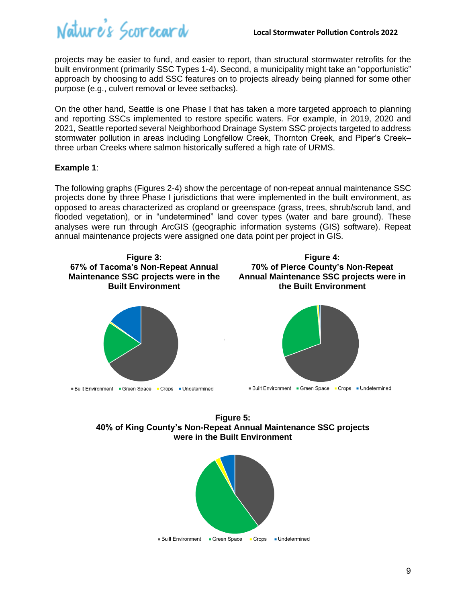

projects may be easier to fund, and easier to report, than structural stormwater retrofits for the built environment (primarily SSC Types 1-4). Second, a municipality might take an "opportunistic" approach by choosing to add SSC features on to projects already being planned for some other purpose (e.g., culvert removal or levee setbacks).

On the other hand, Seattle is one Phase I that has taken a more targeted approach to planning and reporting SSCs implemented to restore specific waters. For example, in 2019, 2020 and 2021, Seattle reported several Neighborhood Drainage System SSC projects targeted to address stormwater pollution in areas including Longfellow Creek, Thornton Creek, and Piper's Creek– three urban Creeks where salmon historically suffered a high rate of URMS.

#### **Example 1**:

The following graphs (Figures 2-4) show the percentage of non-repeat annual maintenance SSC projects done by three Phase I jurisdictions that were implemented in the built environment, as opposed to areas characterized as cropland or greenspace (grass, trees, shrub/scrub land, and flooded vegetation), or in "undetermined" land cover types (water and bare ground). These analyses were run through ArcGIS (geographic information systems (GIS) software). Repeat annual maintenance projects were assigned one data point per project in GIS.



**Figure 5: 40% of King County's Non-Repeat Annual Maintenance SSC projects were in the Built Environment**

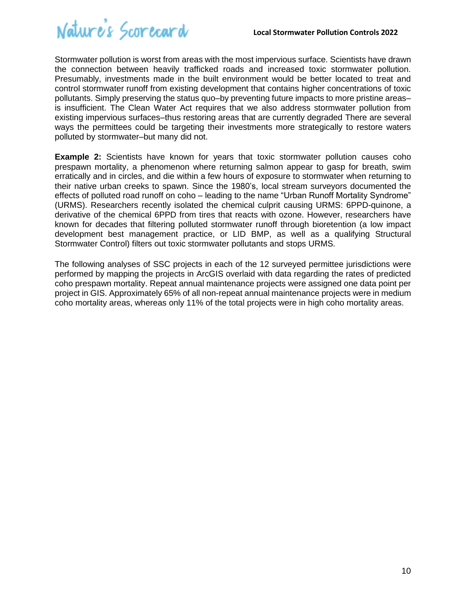

Stormwater pollution is worst from areas with the most impervious surface. Scientists have drawn the connection between heavily trafficked roads and increased toxic stormwater pollution. Presumably, investments made in the built environment would be better located to treat and control stormwater runoff from existing development that contains higher concentrations of toxic pollutants. Simply preserving the status quo–by preventing future impacts to more pristine areas– is insufficient. The Clean Water Act requires that we also address stormwater pollution from existing impervious surfaces–thus restoring areas that are currently degraded There are several ways the permittees could be targeting their investments more strategically to restore waters polluted by stormwater–but many did not.

**Example 2:** Scientists have known for years that toxic stormwater pollution causes coho prespawn mortality, a phenomenon where returning salmon appear to gasp for breath, swim erratically and in circles, and die within a few hours of exposure to stormwater when returning to their native urban creeks to spawn. Since the 1980's, local stream surveyors documented the effects of polluted road runoff on coho – leading to the name "Urban Runoff Mortality Syndrome" (URMS). Researchers recently isolated the chemical culprit causing URMS: 6PPD-quinone, a derivative of the chemical 6PPD from tires that reacts with ozone. However, researchers have known for decades that filtering polluted stormwater runoff through bioretention (a low impact development best management practice, or LID BMP, as well as a qualifying Structural Stormwater Control) filters out toxic stormwater pollutants and stops URMS.

The following analyses of SSC projects in each of the 12 surveyed permittee jurisdictions were performed by mapping the projects in ArcGIS overlaid with data regarding the rates of predicted coho prespawn mortality. Repeat annual maintenance projects were assigned one data point per project in GIS. Approximately 65% of all non-repeat annual maintenance projects were in medium coho mortality areas, whereas only 11% of the total projects were in high coho mortality areas.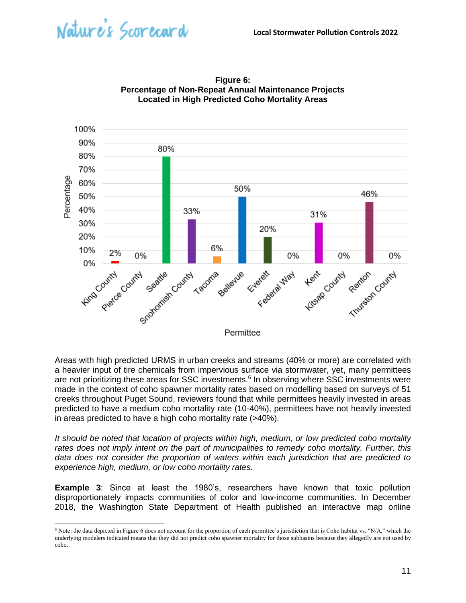



**Figure 6: Percentage of Non-Repeat Annual Maintenance Projects Located in High Predicted Coho Mortality Areas**

Areas with high predicted URMS in urban creeks and streams (40% or more) are correlated with a heavier input of tire chemicals from impervious surface via stormwater, yet, many permittees are not prioritizing these areas for SSC investments.<sup>6</sup> In observing where SSC investments were made in the context of coho spawner mortality rates based on modelling based on surveys of 51 creeks throughout Puget Sound, reviewers found that while permittees heavily invested in areas predicted to have a medium coho mortality rate (10-40%), permittees have not heavily invested in areas predicted to have a high coho mortality rate (>40%).

*It should be noted that location of projects within high, medium, or low predicted coho mortality rates does not imply intent on the part of municipalities to remedy coho mortality. Further, this data does not consider the proportion of waters within each jurisdiction that are predicted to experience high, medium, or low coho mortality rates.*

**Example 3**: Since at least the 1980's, researchers have known that toxic pollution disproportionately impacts communities of color and low-income communities. In December 2018, the Washington State Department of Health published an interactive map online

 $6$  Note: the data depicted in Figure 6 does not account for the proportion of each permittee's jurisdiction that is Coho habitat vs. "N/A," which the underlying modelers indicated means that they did not predict coho spawner mortality for those subbasins because they allegedly are not used by coho.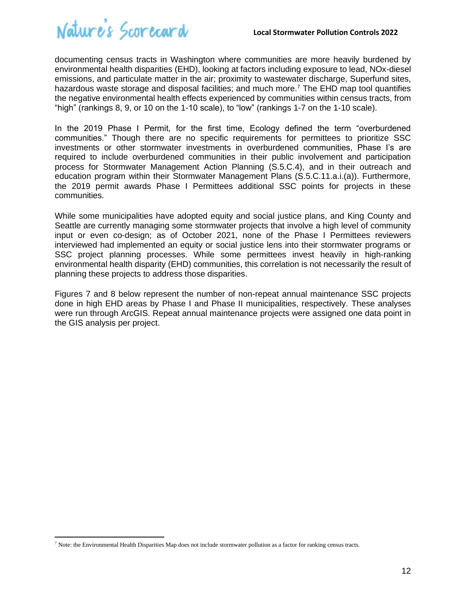

documenting census tracts in Washington where communities are more heavily burdened by environmental health disparities (EHD), looking at factors including exposure to lead, NOx-diesel emissions, and particulate matter in the air; proximity to wastewater discharge, Superfund sites, hazardous waste storage and disposal facilities; and much more.<sup>7</sup> The EHD map tool quantifies the negative environmental health effects experienced by communities within census tracts, from "high" (rankings 8, 9, or 10 on the 1-10 scale), to "low" (rankings 1-7 on the 1-10 scale).

In the 2019 Phase I Permit, for the first time, Ecology defined the term "overburdened communities." Though there are no specific requirements for permittees to prioritize SSC investments or other stormwater investments in overburdened communities, Phase I's are required to include overburdened communities in their public involvement and participation process for Stormwater Management Action Planning (S.5.C.4), and in their outreach and education program within their Stormwater Management Plans (S.5.C.11.a.i.(a)). Furthermore, the 2019 permit awards Phase I Permittees additional SSC points for projects in these communities.

While some municipalities have adopted equity and social justice plans, and King County and Seattle are currently managing some stormwater projects that involve a high level of community input or even co-design; as of October 2021, none of the Phase I Permittees reviewers interviewed had implemented an equity or social justice lens into their stormwater programs or SSC project planning processes. While some permittees invest heavily in high-ranking environmental health disparity (EHD) communities, this correlation is not necessarily the result of planning these projects to address those disparities.

Figures 7 and 8 below represent the number of non-repeat annual maintenance SSC projects done in high EHD areas by Phase I and Phase II municipalities, respectively. These analyses were run through ArcGIS. Repeat annual maintenance projects were assigned one data point in the GIS analysis per project.

 $<sup>7</sup>$  Note: the Environmental Health Disparities Map does not include stormwater pollution as a factor for ranking census tracts.</sup>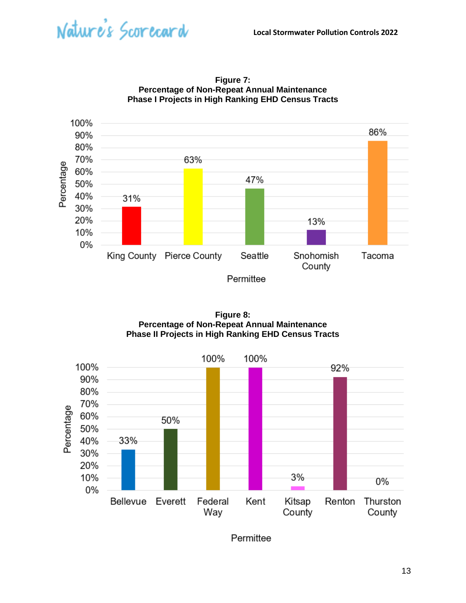



**Figure 7: Percentage of Non-Repeat Annual Maintenance Phase I Projects in High Ranking EHD Census Tracts**

**Figure 8: Percentage of Non-Repeat Annual Maintenance Phase II Projects in High Ranking EHD Census Tracts**



Permittee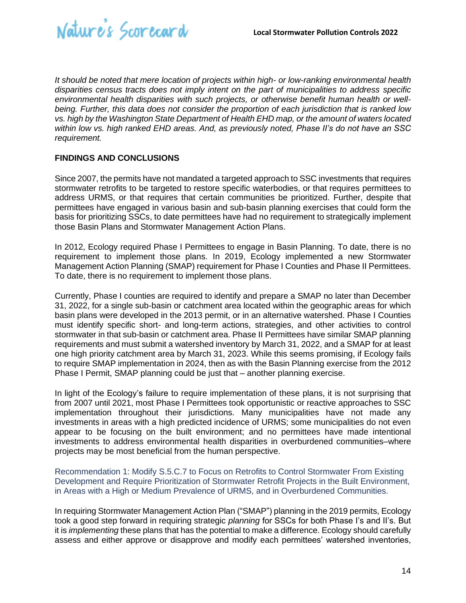

*It should be noted that mere location of projects within high- or low-ranking environmental health disparities census tracts does not imply intent on the part of municipalities to address specific environmental health disparities with such projects, or otherwise benefit human health or wellbeing. Further, this data does not consider the proportion of each jurisdiction that is ranked low vs. high by the Washington State Department of Health EHD map, or the amount of waters located within low vs. high ranked EHD areas. And, as previously noted, Phase II's do not have an SSC requirement.* 

#### **FINDINGS AND CONCLUSIONS**

Since 2007, the permits have not mandated a targeted approach to SSC investments that requires stormwater retrofits to be targeted to restore specific waterbodies, or that requires permittees to address URMS, or that requires that certain communities be prioritized. Further, despite that permittees have engaged in various basin and sub-basin planning exercises that could form the basis for prioritizing SSCs, to date permittees have had no requirement to strategically implement those Basin Plans and Stormwater Management Action Plans.

In 2012, Ecology required Phase I Permittees to engage in Basin Planning. To date, there is no requirement to implement those plans. In 2019, Ecology implemented a new Stormwater Management Action Planning (SMAP) requirement for Phase I Counties and Phase II Permittees. To date, there is no requirement to implement those plans.

Currently, Phase I counties are required to identify and prepare a SMAP no later than December 31, 2022, for a single sub-basin or catchment area located within the geographic areas for which basin plans were developed in the 2013 permit, or in an alternative watershed. Phase I Counties must identify specific short- and long-term actions, strategies, and other activities to control stormwater in that sub-basin or catchment area. Phase II Permittees have similar SMAP planning requirements and must submit a watershed inventory by March 31, 2022, and a SMAP for at least one high priority catchment area by March 31, 2023. While this seems promising, if Ecology fails to require SMAP implementation in 2024, then as with the Basin Planning exercise from the 2012 Phase I Permit, SMAP planning could be just that – another planning exercise.

In light of the Ecology's failure to require implementation of these plans, it is not surprising that from 2007 until 2021, most Phase I Permittees took opportunistic or reactive approaches to SSC implementation throughout their jurisdictions. Many municipalities have not made any investments in areas with a high predicted incidence of URMS; some municipalities do not even appear to be focusing on the built environment; and no permittees have made intentional investments to address environmental health disparities in overburdened communities–where projects may be most beneficial from the human perspective.

<span id="page-13-0"></span>Recommendation 1: Modify S.5.C.7 to Focus on Retrofits to Control Stormwater From Existing Development and Require Prioritization of Stormwater Retrofit Projects in the Built Environment, in Areas with a High or Medium Prevalence of URMS, and in Overburdened Communities.

In requiring Stormwater Management Action Plan ("SMAP") planning in the 2019 permits, Ecology took a good step forward in requiring strategic *planning* for SSCs for both Phase I's and II's. But it is *implementing* these plans that has the potential to make a difference. Ecology should carefully assess and either approve or disapprove and modify each permittees' watershed inventories,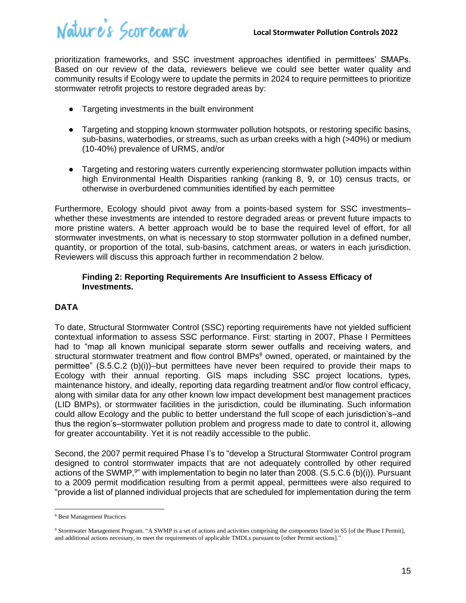prioritization frameworks, and SSC investment approaches identified in permittees' SMAPs. Based on our review of the data, reviewers believe we could see better water quality and community results if Ecology were to update the permits in 2024 to require permittees to prioritize stormwater retrofit projects to restore degraded areas by:

- Targeting investments in the built environment
- Targeting and stopping known stormwater pollution hotspots, or restoring specific basins, sub-basins, waterbodies, or streams, such as urban creeks with a high (>40%) or medium (10-40%) prevalence of URMS, and/or
- Targeting and restoring waters currently experiencing stormwater pollution impacts within high Environmental Health Disparities ranking (ranking 8, 9, or 10) census tracts, or otherwise in overburdened communities identified by each permittee

Furthermore, Ecology should pivot away from a points-based system for SSC investments– whether these investments are intended to restore degraded areas or prevent future impacts to more pristine waters. A better approach would be to base the required level of effort, for all stormwater investments, on what is necessary to stop stormwater pollution in a defined number, quantity, or proportion of the total, sub-basins, catchment areas, or waters in each jurisdiction. Reviewers will discuss this approach further in recommendation 2 below.

#### <span id="page-14-0"></span>**Finding 2: Reporting Requirements Are Insufficient to Assess Efficacy of Investments.**

#### **DATA**

To date, Structural Stormwater Control (SSC) reporting requirements have not yielded sufficient contextual information to assess SSC performance. First: starting in 2007, Phase I Permittees had to "map all known municipal separate storm sewer outfalls and receiving waters, and structural stormwater treatment and flow control BMPs<sup>8</sup> owned, operated, or maintained by the permittee" (S.5.C.2 (b)(i))–but permittees have never been required to provide their maps to Ecology with their annual reporting. GIS maps including SSC project locations, types, maintenance history, and ideally, reporting data regarding treatment and/or flow control efficacy, along with similar data for any other known low impact development best management practices (LID BMPs), or stormwater facilities in the jurisdiction, could be illuminating. Such information could allow Ecology and the public to better understand the full scope of each jurisdiction's–and thus the region's–stormwater pollution problem and progress made to date to control it, allowing for greater accountability. Yet it is not readily accessible to the public.

Second, the 2007 permit required Phase I's to "develop a Structural Stormwater Control program designed to control stormwater impacts that are not adequately controlled by other required actions of the SWMP,<sup>9</sup>" with implementation to begin no later than 2008. (S.5.C.6 (b)(i)). Pursuant to a 2009 permit modification resulting from a permit appeal, permittees were also required to "provide a list of planned individual projects that are scheduled for implementation during the term

<sup>8</sup> Best Management Practices

<sup>9</sup> Stormwater Management Program. "A SWMP is a set of actions and activities comprising the components listed in S5 [of the Phase I Permit], and additional actions necessary, to meet the requirements of applicable TMDLs pursuant to [other Permit sections]."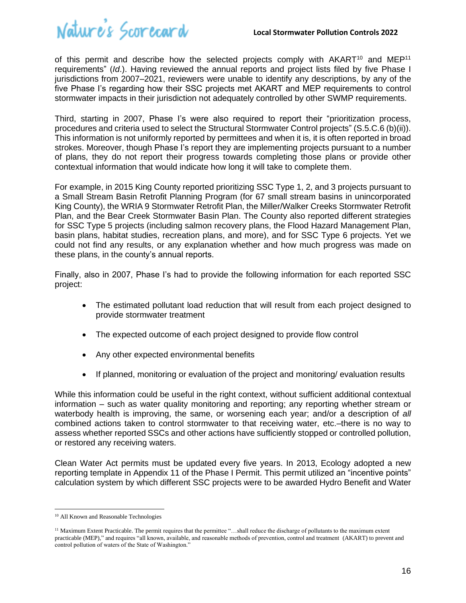of this permit and describe how the selected projects comply with  $AKART<sup>10</sup>$  and  $MEP<sup>11</sup>$ requirements" (*Id*.). Having reviewed the annual reports and project lists filed by five Phase I jurisdictions from 2007–2021, reviewers were unable to identify any descriptions, by any of the five Phase I's regarding how their SSC projects met AKART and MEP requirements to control stormwater impacts in their jurisdiction not adequately controlled by other SWMP requirements.

Third, starting in 2007, Phase I's were also required to report their "prioritization process, procedures and criteria used to select the Structural Stormwater Control projects" (S.5.C.6 (b)(ii)). This information is not uniformly reported by permittees and when it is, it is often reported in broad strokes. Moreover, though Phase I's report they are implementing projects pursuant to a number of plans, they do not report their progress towards completing those plans or provide other contextual information that would indicate how long it will take to complete them.

For example, in 2015 King County reported prioritizing SSC Type 1, 2, and 3 projects pursuant to a Small Stream Basin Retrofit Planning Program (for 67 small stream basins in unincorporated King County), the WRIA 9 Stormwater Retrofit Plan, the Miller/Walker Creeks Stormwater Retrofit Plan, and the Bear Creek Stormwater Basin Plan. The County also reported different strategies for SSC Type 5 projects (including salmon recovery plans, the Flood Hazard Management Plan, basin plans, habitat studies, recreation plans, and more), and for SSC Type 6 projects. Yet we could not find any results, or any explanation whether and how much progress was made on these plans, in the county's annual reports.

Finally, also in 2007, Phase I's had to provide the following information for each reported SSC project:

- The estimated pollutant load reduction that will result from each project designed to provide stormwater treatment
- The expected outcome of each project designed to provide flow control
- Any other expected environmental benefits
- If planned, monitoring or evaluation of the project and monitoring/ evaluation results

While this information could be useful in the right context, without sufficient additional contextual information – such as water quality monitoring and reporting; any reporting whether stream or waterbody health is improving, the same, or worsening each year; and/or a description of *all* combined actions taken to control stormwater to that receiving water, etc.–there is no way to assess whether reported SSCs and other actions have sufficiently stopped or controlled pollution, or restored any receiving waters.

Clean Water Act permits must be updated every five years. In 2013, Ecology adopted a new reporting template in Appendix 11 of the Phase I Permit. This permit utilized an "incentive points" calculation system by which different SSC projects were to be awarded Hydro Benefit and Water

<sup>10</sup> All Known and Reasonable Technologies

 $<sup>11</sup>$  Maximum Extent Practicable. The permit requires that the permittee "...shall reduce the discharge of pollutants to the maximum extent</sup> practicable (MEP)," and requires "all known, available, and reasonable methods of prevention, control and treatment (AKART) to prevent and control pollution of waters of the State of Washington."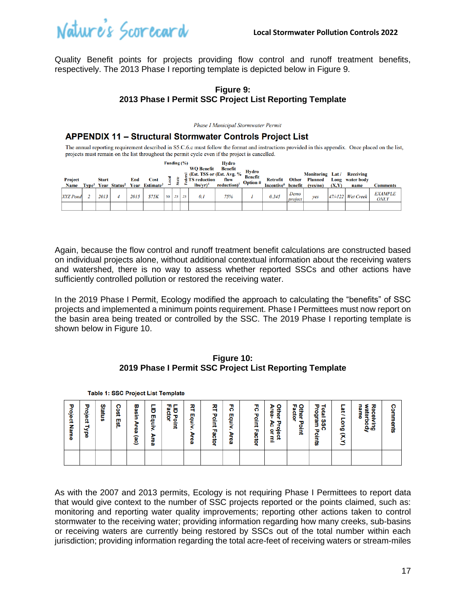

Table 1: SSC Project List Template

Quality Benefit points for projects providing flow control and runoff treatment benefits, respectively. The 2013 Phase I reporting template is depicted below in Figure 9.

#### **Figure 9: 2013 Phase I Permit SSC Project List Reporting Template**

Phase I Municipal Stormwater Permit

#### **APPENDIX 11 - Structural Stormwater Controls Project List**

The annual reporting requirement described in S5.C.6.c must follow the format and instructions provided in this appendix. Once placed on the list, projects must remain on the list throughout the permit cycle even if the project is cancelled.

| Project                        | <b>Start</b> | End  | <b>Cost</b>                                                                    | Funding (%) |    |    | <b>WO Benefit</b><br>$\overline{R}$ (Est. TSS or (Est. Avg. %)<br><b>TS</b> reduction | <b>Hydro</b><br><b>Benefit</b><br>flow | Hydro<br><b>Benefit</b><br><b>Option</b> # | <b>Retrofit</b>                 | <b>Other</b>               | <b>Monitoring</b> Lat/<br><b>Planned</b> | Long  | <b>Receiving</b><br>water body |                                           |
|--------------------------------|--------------|------|--------------------------------------------------------------------------------|-------------|----|----|---------------------------------------------------------------------------------------|----------------------------------------|--------------------------------------------|---------------------------------|----------------------------|------------------------------------------|-------|--------------------------------|-------------------------------------------|
| <b>Name</b><br><b>XYZ</b> Pond | 2013         | 2015 | Type <sup>1</sup> Year Status <sup>2</sup> Year Estimate <sup>3</sup><br>\$75K | 50          | 25 | 25 | $lbs/vr)^4$<br>0.1                                                                    | $reduction$ <sup>5</sup><br>75%        |                                            | Incentive <sup>6</sup><br>0.345 | benefit<br>Demo<br>project | (ves/no)<br>ves                          | (X,Y) | name<br>47/-122 Wet Creek      | Comments<br><b>EXAMPLE</b><br><b>ONLY</b> |
|                                |              |      |                                                                                |             |    |    |                                                                                       |                                        |                                            |                                 |                            |                                          |       |                                |                                           |

Again, because the flow control and runoff treatment benefit calculations are constructed based on individual projects alone, without additional contextual information about the receiving waters and watershed, there is no way to assess whether reported SSCs and other actions have sufficiently controlled pollution or restored the receiving water.

In the 2019 Phase I Permit, Ecology modified the approach to calculating the "benefits" of SSC projects and implemented a minimum points requirement. Phase I Permittees must now report on the basin area being treated or controlled by the SSC. The 2019 Phase I reporting template is shown below in Figure 10.

#### **Figure 10: 2019 Phase I Permit SSC Project List Reporting Template**

| Project<br>Name | τ<br><u>့</u><br>Ω<br>⋜<br>뎧 | Statu<br>S | ິ<br>ğ<br>Est. | Basin<br>ъ<br>g<br>(ac) | ō<br>ᢧ<br>Ē.<br>ъ<br>7<br>ω | 習<br>ក្ល<br>ត្<br>Point | 즤<br>삍<br>₹<br>æ<br>ъ<br>စ္ယ | 观<br>π<br>₫.<br>₹<br>m<br>ဨ<br>ğ | 75<br>т<br>ë<br>₹<br>×<br>ъ<br>Φ<br>ω | 7<br>ъ<br><u>int</u><br><b>Factor</b> | ۰<br>⋗<br>ēg<br>÷<br>ᄛ<br>ъ<br>ъ<br>ō<br>흥<br>۰<br>Q<br>٩<br>-- | Other<br>m<br>ဥ္က<br>ä<br>τ<br>을<br>크 | 꿈<br>⊣<br>etal<br>٩<br>g<br>m<br>m<br>ດ<br>τ<br>oints | -<br>윾<br>-<br>-<br>eu6<br>R<br>ت | Rec<br>name<br>٤<br>ater<br><u>ወ.</u><br>ь<br>ā<br>ο<br>ݠ | Ω<br>o<br>nemts |
|-----------------|------------------------------|------------|----------------|-------------------------|-----------------------------|-------------------------|------------------------------|----------------------------------|---------------------------------------|---------------------------------------|-----------------------------------------------------------------|---------------------------------------|-------------------------------------------------------|-----------------------------------|-----------------------------------------------------------|-----------------|
|                 |                              |            |                |                         |                             |                         |                              |                                  |                                       |                                       |                                                                 |                                       |                                                       |                                   |                                                           |                 |

As with the 2007 and 2013 permits, Ecology is not requiring Phase I Permittees to report data that would give context to the number of SSC projects reported or the points claimed, such as: monitoring and reporting water quality improvements; reporting other actions taken to control stormwater to the receiving water; providing information regarding how many creeks, sub-basins or receiving waters are currently being restored by SSCs out of the total number within each jurisdiction; providing information regarding the total acre-feet of receiving waters or stream-miles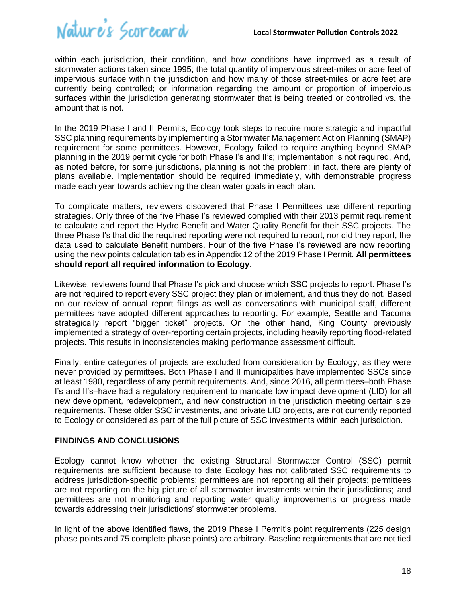

within each jurisdiction, their condition, and how conditions have improved as a result of stormwater actions taken since 1995; the total quantity of impervious street-miles or acre feet of impervious surface within the jurisdiction and how many of those street-miles or acre feet are currently being controlled; or information regarding the amount or proportion of impervious surfaces within the jurisdiction generating stormwater that is being treated or controlled vs. the amount that is not.

In the 2019 Phase I and II Permits, Ecology took steps to require more strategic and impactful SSC planning requirements by implementing a Stormwater Management Action Planning (SMAP) requirement for some permittees. However, Ecology failed to require anything beyond SMAP planning in the 2019 permit cycle for both Phase I's and II's; implementation is not required. And, as noted before, for some jurisdictions, planning is not the problem; in fact, there are plenty of plans available. Implementation should be required immediately, with demonstrable progress made each year towards achieving the clean water goals in each plan.

To complicate matters, reviewers discovered that Phase I Permittees use different reporting strategies. Only three of the five Phase I's reviewed complied with their 2013 permit requirement to calculate and report the Hydro Benefit and Water Quality Benefit for their SSC projects. The three Phase I's that did the required reporting were not required to report, nor did they report, the data used to calculate Benefit numbers. Four of the five Phase I's reviewed are now reporting using the new points calculation tables in Appendix 12 of the 2019 Phase I Permit. **All permittees should report all required information to Ecology**.

Likewise, reviewers found that Phase I's pick and choose which SSC projects to report. Phase I's are not required to report every SSC project they plan or implement, and thus they do not. Based on our review of annual report filings as well as conversations with municipal staff, different permittees have adopted different approaches to reporting. For example, Seattle and Tacoma strategically report "bigger ticket" projects. On the other hand, King County previously implemented a strategy of over-reporting certain projects, including heavily reporting flood-related projects. This results in inconsistencies making performance assessment difficult.

Finally, entire categories of projects are excluded from consideration by Ecology, as they were never provided by permittees. Both Phase I and II municipalities have implemented SSCs since at least 1980, regardless of any permit requirements. And, since 2016, all permittees–both Phase I's and II's–have had a regulatory requirement to mandate low impact development (LID) for all new development, redevelopment, and new construction in the jurisdiction meeting certain size requirements. These older SSC investments, and private LID projects, are not currently reported to Ecology or considered as part of the full picture of SSC investments within each jurisdiction.

#### **FINDINGS AND CONCLUSIONS**

Ecology cannot know whether the existing Structural Stormwater Control (SSC) permit requirements are sufficient because to date Ecology has not calibrated SSC requirements to address jurisdiction-specific problems; permittees are not reporting all their projects; permittees are not reporting on the big picture of all stormwater investments within their jurisdictions; and permittees are not monitoring and reporting water quality improvements or progress made towards addressing their jurisdictions' stormwater problems.

In light of the above identified flaws, the 2019 Phase I Permit's point requirements (225 design phase points and 75 complete phase points) are arbitrary. Baseline requirements that are not tied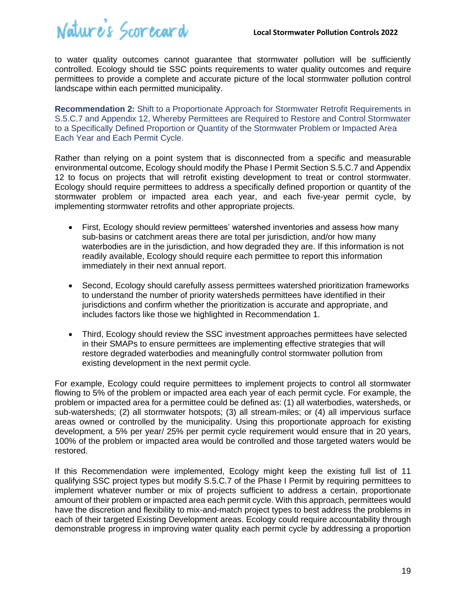to water quality outcomes cannot guarantee that stormwater pollution will be sufficiently controlled. Ecology should tie SSC points requirements to water quality outcomes and require permittees to provide a complete and accurate picture of the local stormwater pollution control landscape within each permitted municipality.

<span id="page-18-0"></span>**Recommendation 2:** Shift to a Proportionate Approach for Stormwater Retrofit Requirements in S.5.C.7 and Appendix 12, Whereby Permittees are Required to Restore and Control Stormwater to a Specifically Defined Proportion or Quantity of the Stormwater Problem or Impacted Area Each Year and Each Permit Cycle.

Rather than relying on a point system that is disconnected from a specific and measurable environmental outcome, Ecology should modify the Phase I Permit Section S.5.C.7 and Appendix 12 to focus on projects that will retrofit existing development to treat or control stormwater. Ecology should require permittees to address a specifically defined proportion or quantity of the stormwater problem or impacted area each year, and each five-year permit cycle, by implementing stormwater retrofits and other appropriate projects.

- First, Ecology should review permittees' watershed inventories and assess how many sub-basins or catchment areas there are total per jurisdiction, and/or how many waterbodies are in the jurisdiction, and how degraded they are. If this information is not readily available, Ecology should require each permittee to report this information immediately in their next annual report.
- Second, Ecology should carefully assess permittees watershed prioritization frameworks to understand the number of priority watersheds permittees have identified in their jurisdictions and confirm whether the prioritization is accurate and appropriate, and includes factors like those we highlighted in Recommendation 1.
- Third, Ecology should review the SSC investment approaches permittees have selected in their SMAPs to ensure permittees are implementing effective strategies that will restore degraded waterbodies and meaningfully control stormwater pollution from existing development in the next permit cycle.

For example, Ecology could require permittees to implement projects to control all stormwater flowing to 5% of the problem or impacted area each year of each permit cycle. For example, the problem or impacted area for a permittee could be defined as: (1) all waterbodies, watersheds, or sub-watersheds; (2) all stormwater hotspots; (3) all stream-miles; or (4) all impervious surface areas owned or controlled by the municipality. Using this proportionate approach for existing development, a 5% per year/ 25% per permit cycle requirement would ensure that in 20 years, 100% of the problem or impacted area would be controlled and those targeted waters would be restored.

If this Recommendation were implemented, Ecology might keep the existing full list of 11 qualifying SSC project types but modify S.5.C.7 of the Phase I Permit by requiring permittees to implement whatever number or mix of projects sufficient to address a certain, proportionate amount of their problem or impacted area each permit cycle. With this approach, permittees would have the discretion and flexibility to mix-and-match project types to best address the problems in each of their targeted Existing Development areas. Ecology could require accountability through demonstrable progress in improving water quality each permit cycle by addressing a proportion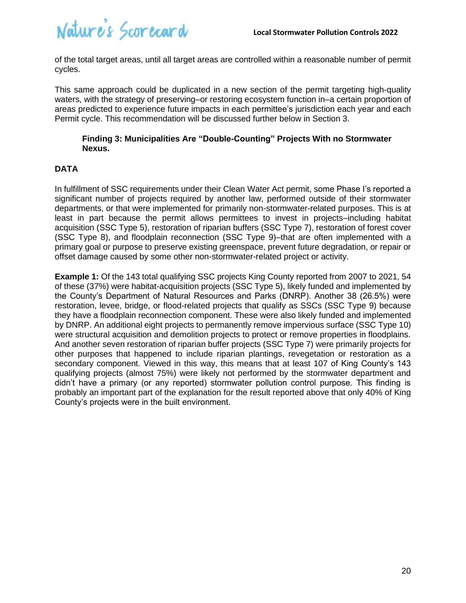

of the total target areas, until all target areas are controlled within a reasonable number of permit cycles.

This same approach could be duplicated in a new section of the permit targeting high-quality waters, with the strategy of preserving–or restoring ecosystem function in–a certain proportion of areas predicted to experience future impacts in each permittee's jurisdiction each year and each Permit cycle. This recommendation will be discussed further below in Section 3.

#### <span id="page-19-0"></span>**Finding 3: Municipalities Are "Double-Counting" Projects With no Stormwater Nexus.**

#### **DATA**

In fulfillment of SSC requirements under their Clean Water Act permit, some Phase I's reported a significant number of projects required by another law, performed outside of their stormwater departments, or that were implemented for primarily non-stormwater-related purposes. This is at least in part because the permit allows permittees to invest in projects–including habitat acquisition (SSC Type 5), restoration of riparian buffers (SSC Type 7), restoration of forest cover (SSC Type 8), and floodplain reconnection (SSC Type 9)–that are often implemented with a primary goal or purpose to preserve existing greenspace, prevent future degradation, or repair or offset damage caused by some other non-stormwater-related project or activity.

**Example 1:** Of the 143 total qualifying SSC projects King County reported from 2007 to 2021, 54 of these (37%) were habitat-acquisition projects (SSC Type 5), likely funded and implemented by the County's Department of Natural Resources and Parks (DNRP). Another 38 (26.5%) were restoration, levee, bridge, or flood-related projects that qualify as SSCs (SSC Type 9) because they have a floodplain reconnection component. These were also likely funded and implemented by DNRP. An additional eight projects to permanently remove impervious surface (SSC Type 10) were structural acquisition and demolition projects to protect or remove properties in floodplains. And another seven restoration of riparian buffer projects (SSC Type 7) were primarily projects for other purposes that happened to include riparian plantings, revegetation or restoration as a secondary component. Viewed in this way, this means that at least 107 of King County's 143 qualifying projects (almost 75%) were likely not performed by the stormwater department and didn't have a primary (or any reported) stormwater pollution control purpose. This finding is probably an important part of the explanation for the result reported above that only 40% of King County's projects were in the built environment.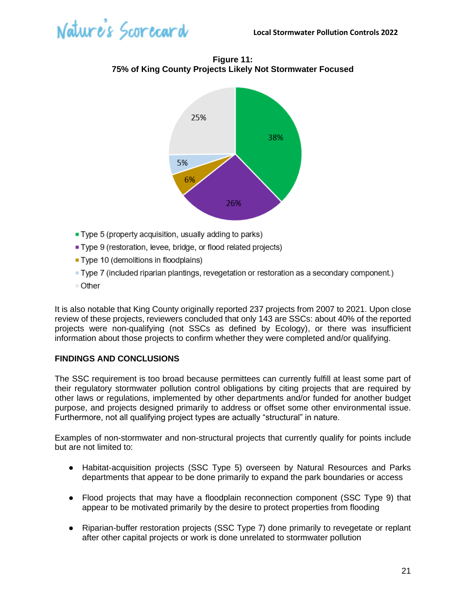

**Figure 11: 75% of King County Projects Likely Not Stormwater Focused**



- Type 5 (property acquisition, usually adding to parks)
- Type 9 (restoration, levee, bridge, or flood related projects)
- Type 10 (demolitions in floodplains)
- Type 7 (included riparian plantings, revegetation or restoration as a secondary component.)
- Other

It is also notable that King County originally reported 237 projects from 2007 to 2021. Upon close review of these projects, reviewers concluded that only 143 are SSCs: about 40% of the reported projects were non-qualifying (not SSCs as defined by Ecology), or there was insufficient information about those projects to confirm whether they were completed and/or qualifying.

#### **FINDINGS AND CONCLUSIONS**

The SSC requirement is too broad because permittees can currently fulfill at least some part of their regulatory stormwater pollution control obligations by citing projects that are required by other laws or regulations, implemented by other departments and/or funded for another budget purpose, and projects designed primarily to address or offset some other environmental issue. Furthermore, not all qualifying project types are actually "structural" in nature.

Examples of non-stormwater and non-structural projects that currently qualify for points include but are not limited to:

- Habitat-acquisition projects (SSC Type 5) overseen by Natural Resources and Parks departments that appear to be done primarily to expand the park boundaries or access
- Flood projects that may have a floodplain reconnection component (SSC Type 9) that appear to be motivated primarily by the desire to protect properties from flooding
- Riparian-buffer restoration projects (SSC Type 7) done primarily to revegetate or replant after other capital projects or work is done unrelated to stormwater pollution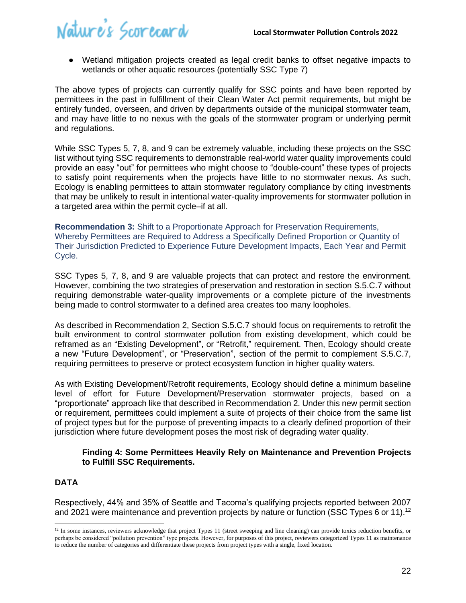● Wetland mitigation projects created as legal credit banks to offset negative impacts to wetlands or other aquatic resources (potentially SSC Type 7)

The above types of projects can currently qualify for SSC points and have been reported by permittees in the past in fulfillment of their Clean Water Act permit requirements, but might be entirely funded, overseen, and driven by departments outside of the municipal stormwater team, and may have little to no nexus with the goals of the stormwater program or underlying permit and regulations.

While SSC Types 5, 7, 8, and 9 can be extremely valuable, including these projects on the SSC list without tying SSC requirements to demonstrable real-world water quality improvements could provide an easy "out" for permittees who might choose to "double-count" these types of projects to satisfy point requirements when the projects have little to no stormwater nexus. As such, Ecology is enabling permittees to attain stormwater regulatory compliance by citing investments that may be unlikely to result in intentional water-quality improvements for stormwater pollution in a targeted area within the permit cycle–if at all.

<span id="page-21-0"></span>**Recommendation 3:** Shift to a Proportionate Approach for Preservation Requirements, Whereby Permittees are Required to Address a Specifically Defined Proportion or Quantity of Their Jurisdiction Predicted to Experience Future Development Impacts, Each Year and Permit Cycle.

SSC Types 5, 7, 8, and 9 are valuable projects that can protect and restore the environment. However, combining the two strategies of preservation and restoration in section S.5.C.7 without requiring demonstrable water-quality improvements or a complete picture of the investments being made to control stormwater to a defined area creates too many loopholes.

As described in Recommendation 2, Section S.5.C.7 should focus on requirements to retrofit the built environment to control stormwater pollution from existing development, which could be reframed as an "Existing Development", or "Retrofit," requirement. Then, Ecology should create a new "Future Development", or "Preservation", section of the permit to complement S.5.C.7, requiring permittees to preserve or protect ecosystem function in higher quality waters.

As with Existing Development/Retrofit requirements, Ecology should define a minimum baseline level of effort for Future Development/Preservation stormwater projects, based on a "proportionate" approach like that described in Recommendation 2. Under this new permit section or requirement, permittees could implement a suite of projects of their choice from the same list of project types but for the purpose of preventing impacts to a clearly defined proportion of their jurisdiction where future development poses the most risk of degrading water quality.

#### <span id="page-21-1"></span>**Finding 4: Some Permittees Heavily Rely on Maintenance and Prevention Projects to Fulfill SSC Requirements.**

#### **DATA**

Respectively, 44% and 35% of Seattle and Tacoma's qualifying projects reported between 2007 and 2021 were maintenance and prevention projects by nature or function (SSC Types 6 or 11).<sup>12</sup>

 $12$  In some instances, reviewers acknowledge that project Types 11 (street sweeping and line cleaning) can provide toxics reduction benefits, or perhaps be considered "pollution prevention" type projects. However, for purposes of this project, reviewers categorized Types 11 as maintenance to reduce the number of categories and differentiate these projects from project types with a single, fixed location.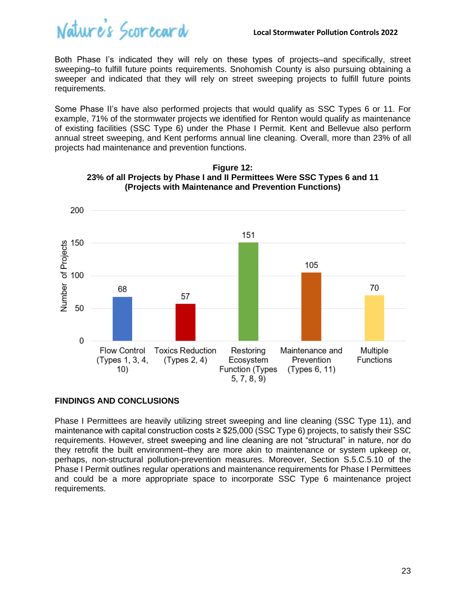

Both Phase I's indicated they will rely on these types of projects–and specifically, street sweeping–to fulfill future points requirements. Snohomish County is also pursuing obtaining a sweeper and indicated that they will rely on street sweeping projects to fulfill future points requirements.

Some Phase II's have also performed projects that would qualify as SSC Types 6 or 11. For example, 71% of the stormwater projects we identified for Renton would qualify as maintenance of existing facilities (SSC Type 6) under the Phase I Permit. Kent and Bellevue also perform annual street sweeping, and Kent performs annual line cleaning. Overall, more than 23% of all projects had maintenance and prevention functions.



**Figure 12: 23% of all Projects by Phase I and II Permittees Were SSC Types 6 and 11 (Projects with Maintenance and Prevention Functions)** 

#### **FINDINGS AND CONCLUSIONS**

Phase I Permittees are heavily utilizing street sweeping and line cleaning (SSC Type 11), and maintenance with capital construction costs ≥ \$25,000 (SSC Type 6) projects, to satisfy their SSC requirements. However, street sweeping and line cleaning are not "structural" in nature, nor do they retrofit the built environment–they are more akin to maintenance or system upkeep or, perhaps, non-structural pollution-prevention measures. Moreover, Section S.5.C.5.10 of the Phase I Permit outlines regular operations and maintenance requirements for Phase I Permittees and could be a more appropriate space to incorporate SSC Type 6 maintenance project requirements.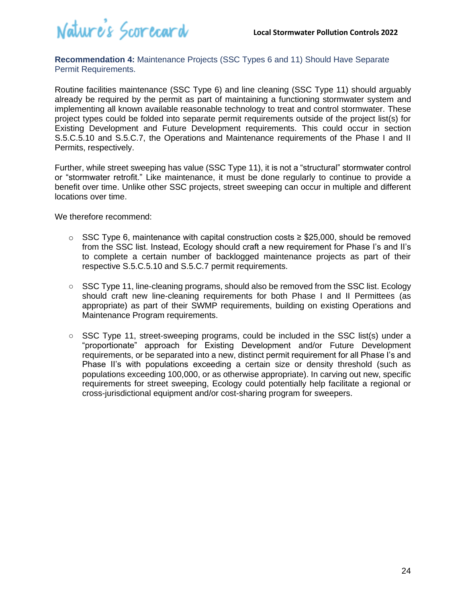

<span id="page-23-0"></span>**Recommendation 4:** Maintenance Projects (SSC Types 6 and 11) Should Have Separate Permit Requirements.

Routine facilities maintenance (SSC Type 6) and line cleaning (SSC Type 11) should arguably already be required by the permit as part of maintaining a functioning stormwater system and implementing all known available reasonable technology to treat and control stormwater. These project types could be folded into separate permit requirements outside of the project list(s) for Existing Development and Future Development requirements. This could occur in section S.5.C.5.10 and S.5.C.7, the Operations and Maintenance requirements of the Phase I and II Permits, respectively.

Further, while street sweeping has value (SSC Type 11), it is not a "structural" stormwater control or "stormwater retrofit." Like maintenance, it must be done regularly to continue to provide a benefit over time. Unlike other SSC projects, street sweeping can occur in multiple and different locations over time.

We therefore recommend:

- o SSC Type 6, maintenance with capital construction costs ≥ \$25,000, should be removed from the SSC list. Instead, Ecology should craft a new requirement for Phase I's and II's to complete a certain number of backlogged maintenance projects as part of their respective S.5.C.5.10 and S.5.C.7 permit requirements.
- **○** SSC Type 11, line-cleaning programs, should also be removed from the SSC list. Ecology should craft new line-cleaning requirements for both Phase I and II Permittees (as appropriate) as part of their SWMP requirements, building on existing Operations and Maintenance Program requirements.
- **○** SSC Type 11, street-sweeping programs, could be included in the SSC list(s) under a "proportionate" approach for Existing Development and/or Future Development requirements, or be separated into a new, distinct permit requirement for all Phase I's and Phase II's with populations exceeding a certain size or density threshold (such as populations exceeding 100,000, or as otherwise appropriate). In carving out new, specific requirements for street sweeping, Ecology could potentially help facilitate a regional or cross-jurisdictional equipment and/or cost-sharing program for sweepers.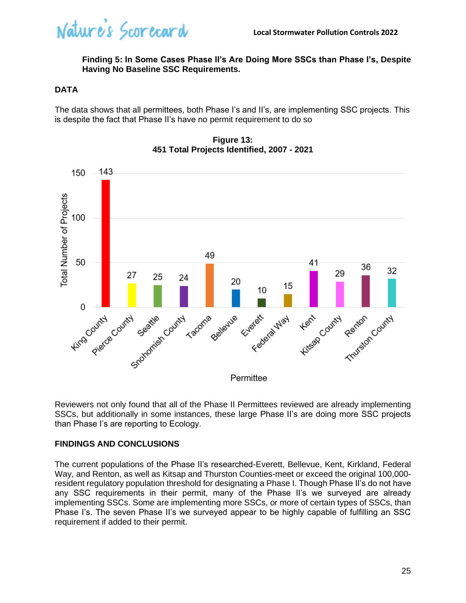Nature's Scorecard

#### <span id="page-24-0"></span>**Finding 5: In Some Cases Phase II's Are Doing More SSCs than Phase I's, Despite Having No Baseline SSC Requirements.**

#### **DATA**

The data shows that all permittees, both Phase I's and II's, are implementing SSC projects. This is despite the fact that Phase II's have no permit requirement to do so



**Figure 13: 451 Total Projects Identified, 2007 - 2021**

Reviewers not only found that all of the Phase II Permittees reviewed are already implementing SSCs, but additionally in some instances, these large Phase II's are doing more SSC projects than Phase I's are reporting to Ecology.

#### **FINDINGS AND CONCLUSIONS**

The current populations of the Phase II's researched-Everett, Bellevue, Kent, Kirkland, Federal Way, and Renton, as well as Kitsap and Thurston Counties-meet or exceed the original 100,000 resident regulatory population threshold for designating a Phase I. Though Phase II's do not have any SSC requirements in their permit, many of the Phase II's we surveyed are already implementing SSCs. Some are implementing more SSCs, or more of certain types of SSCs, than Phase I's. The seven Phase II's we surveyed appear to be highly capable of fulfilling an SSC requirement if added to their permit.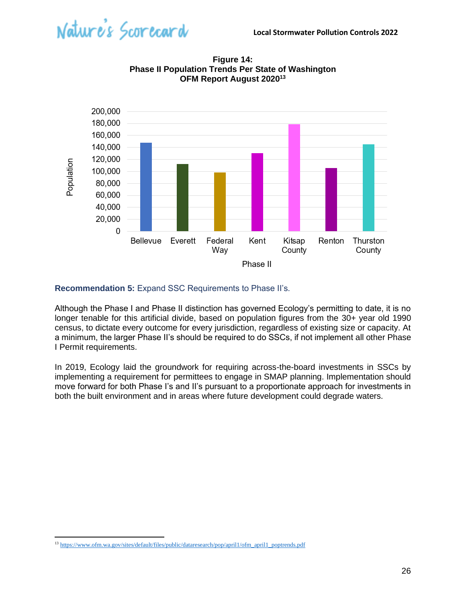



**Figure 14: Phase II Population Trends Per State of Washington OFM Report August 2020<sup>13</sup>**

#### <span id="page-25-0"></span>**Recommendation 5:** Expand SSC Requirements to Phase II's.

Although the Phase I and Phase II distinction has governed Ecology's permitting to date, it is no longer tenable for this artificial divide, based on population figures from the 30+ year old 1990 census, to dictate every outcome for every jurisdiction, regardless of existing size or capacity. At a minimum, the larger Phase II's should be required to do SSCs, if not implement all other Phase I Permit requirements.

In 2019, Ecology laid the groundwork for requiring across-the-board investments in SSCs by implementing a requirement for permittees to engage in SMAP planning. Implementation should move forward for both Phase I's and II's pursuant to a proportionate approach for investments in both the built environment and in areas where future development could degrade waters.

<sup>&</sup>lt;sup>13</sup> [https://www.ofm.wa.gov/sites/default/files/public/dataresearch/pop/april1/ofm\\_april1\\_poptrends.pdf](https://www.ofm.wa.gov/sites/default/files/public/dataresearch/pop/april1/ofm_april1_poptrends.pdf)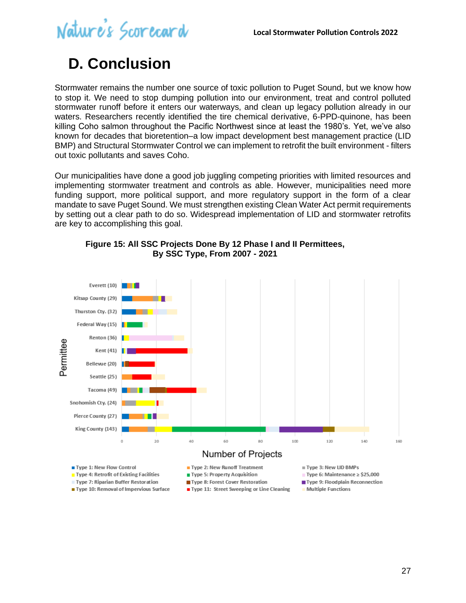

### <span id="page-26-0"></span>**D. Conclusion**

Stormwater remains the number one source of toxic pollution to Puget Sound, but we know how to stop it. We need to stop dumping pollution into our environment, treat and control polluted stormwater runoff before it enters our waterways, and clean up legacy pollution already in our waters. Researchers recently identified the tire chemical derivative, 6-PPD-quinone, has been killing Coho salmon throughout the Pacific Northwest since at least the 1980's. Yet, we've also known for decades that bioretention–a low impact development best management practice (LID BMP) and Structural Stormwater Control we can implement to retrofit the built environment - filters out toxic pollutants and saves Coho.

Our municipalities have done a good job juggling competing priorities with limited resources and implementing stormwater treatment and controls as able. However, municipalities need more funding support, more political support, and more regulatory support in the form of a clear mandate to save Puget Sound. We must strengthen existing Clean Water Act permit requirements by setting out a clear path to do so. Widespread implementation of LID and stormwater retrofits are key to accomplishing this goal.



#### **Figure 15: All SSC Projects Done By 12 Phase I and II Permittees, By SSC Type, From 2007 - 2021**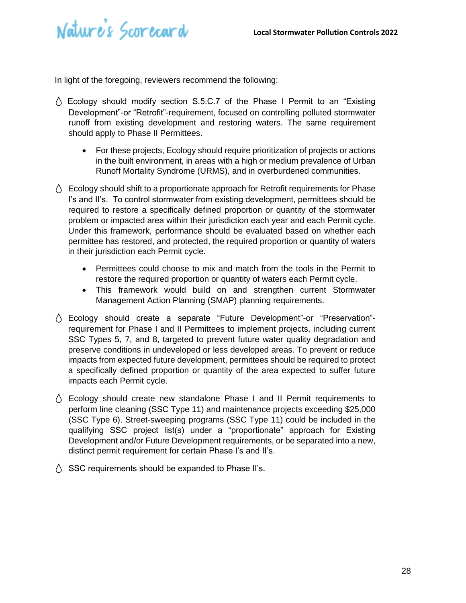

In light of the foregoing, reviewers recommend the following:

- $\wedge$  Ecology should modify section S.5.C.7 of the Phase I Permit to an "Existing" Development"-or "Retrofit"-requirement, focused on controlling polluted stormwater runoff from existing development and restoring waters. The same requirement should apply to Phase II Permittees.
	- For these projects, Ecology should require prioritization of projects or actions in the built environment, in areas with a high or medium prevalence of Urban Runoff Mortality Syndrome (URMS), and in overburdened communities.
- $\Diamond$  Ecology should shift to a proportionate approach for Retrofit requirements for Phase I's and II's. To control stormwater from existing development, permittees should be required to restore a specifically defined proportion or quantity of the stormwater problem or impacted area within their jurisdiction each year and each Permit cycle. Under this framework, performance should be evaluated based on whether each permittee has restored, and protected, the required proportion or quantity of waters in their jurisdiction each Permit cycle.
	- Permittees could choose to mix and match from the tools in the Permit to restore the required proportion or quantity of waters each Permit cycle.
	- This framework would build on and strengthen current Stormwater Management Action Planning (SMAP) planning requirements.
- Ecology should create a separate "Future Development"-or "Preservation" requirement for Phase I and II Permittees to implement projects, including current SSC Types 5, 7, and 8, targeted to prevent future water quality degradation and preserve conditions in undeveloped or less developed areas. To prevent or reduce impacts from expected future development, permittees should be required to protect a specifically defined proportion or quantity of the area expected to suffer future impacts each Permit cycle.
- $\wedge$  Ecology should create new standalone Phase I and II Permit requirements to perform line cleaning (SSC Type 11) and maintenance projects exceeding \$25,000 (SSC Type 6). Street-sweeping programs (SSC Type 11) could be included in the qualifying SSC project list(s) under a "proportionate" approach for Existing Development and/or Future Development requirements, or be separated into a new, distinct permit requirement for certain Phase I's and II's.
- $\Diamond$  SSC requirements should be expanded to Phase II's.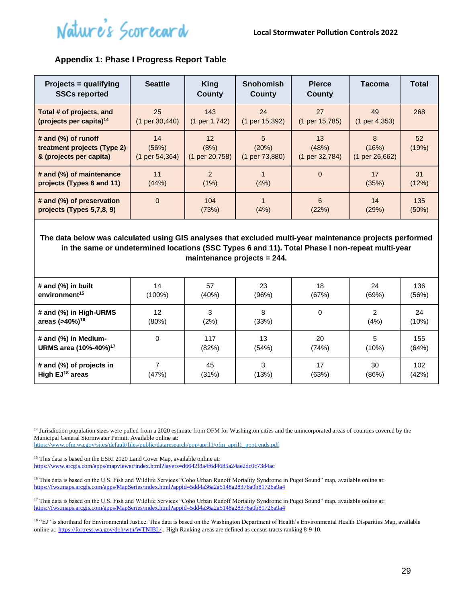#### <span id="page-28-0"></span>**Appendix 1: Phase I Progress Report Table**

| Projects = qualifying<br><b>SSCs reported</b>                                 | <b>Seattle</b>                           | King<br>County                                       | <b>Snohomish</b><br>County              | <b>Pierce</b><br>County                  | Tacoma                       | <b>Total</b>             |
|-------------------------------------------------------------------------------|------------------------------------------|------------------------------------------------------|-----------------------------------------|------------------------------------------|------------------------------|--------------------------|
| Total # of projects, and<br>(projects per capita) <sup>14</sup>               | 25<br>$(1 \text{ per } 30,440)$          | 143<br>$(1 \text{ per } 1,742)$                      | 24<br>(1 per 15, 392)                   | 27<br>(1 per 15,785)                     | 49<br>(1 per 4, 353)         | 268                      |
| # and (%) of runoff<br>treatment projects (Type 2)<br>& (projects per capita) | 14<br>(56%)<br>$(1 \text{ per } 54,364)$ | 12 <sup>2</sup><br>(8%)<br>$(1 \text{ per } 20,758)$ | 5<br>(20%)<br>$(1 \text{ per } 73,880)$ | 13<br>(48%)<br>$(1 \text{ per } 32,784)$ | 8<br>(16%)<br>(1 per 26,662) | 52 <sub>2</sub><br>(19%) |
| # and (%) of maintenance<br>projects (Types 6 and 11)                         | 11<br>(44%)                              | $\overline{2}$<br>(1%)                               | (4%)                                    | $\Omega$                                 | 17<br>(35%)                  | 31<br>(12%)              |
| # and (%) of preservation<br>projects (Types 5,7,8, 9)                        | $\overline{0}$                           | 104<br>(73%)                                         | (4%)                                    | 6<br>(22%)                               | 14<br>(29%)                  | 135<br>(50%)             |

**The data below was calculated using GIS analyses that excluded multi-year maintenance projects performed in the same or undetermined locations (SSC Types 6 and 11). Total Phase I non-repeat multi-year maintenance projects = 244.**

| # and (%) in built                | 14        | 57    | 23    | 18       | 24    | 136   |
|-----------------------------------|-----------|-------|-------|----------|-------|-------|
| environment <sup>15</sup>         | $(100\%)$ | (40%) | (96%) | (67%)    | (69%) | (56%) |
| # and (%) in High-URMS            | 12        | 3     | 8     | $\Omega$ | ົ     | 24    |
| areas (>40%) <sup>16</sup>        | (80%)     | (2%)  | (33%) |          | (4%)  | (10%) |
| # and (%) in Medium-              | 0         | 117   | 13    | 20       | 5     | 155   |
| URMS area (10%-40%) <sup>17</sup> |           | (82%) | (54%) | (74%)    | (10%) | (64%) |
| # and (%) of projects in          | (47%)     | 45    | 3     | 17       | 30    | 102   |
| High $EJ^{18}$ areas              |           | (31%) | (13%) | (63%)    | (86%) | (42%) |

[https://www.ofm.wa.gov/sites/default/files/public/dataresearch/pop/april1/ofm\\_april1\\_poptrends.pdf](https://www.ofm.wa.gov/sites/default/files/public/dataresearch/pop/april1/ofm_april1_poptrends.pdf)

<sup>15</sup> This data is based on the ESRI 2020 Land Cover Map, available online at: <https://www.arcgis.com/apps/mapviewer/index.html?layers=d6642f8a4f6d4685a24ae2dc0c73d4ac>

<sup>17</sup> This data is based on the U.S. Fish and Wildlife Services "Coho Urban Runoff Mortality Syndrome in Puget Sound" map, available online at: <https://fws.maps.arcgis.com/apps/MapSeries/index.html?appid=5dd4a36a2a5148a28376a0b81726a9a4>

<sup>&</sup>lt;sup>14</sup> Jurisdiction population sizes were pulled from a 2020 estimate from OFM for Washington cities and the unincorporated areas of counties covered by the Municipal General Stormwater Permit. Available online at:

<sup>&</sup>lt;sup>16</sup> This data is based on the U.S. Fish and Wildlife Services "Coho Urban Runoff Mortality Syndrome in Puget Sound" map, available online at: <https://fws.maps.arcgis.com/apps/MapSeries/index.html?appid=5dd4a36a2a5148a28376a0b81726a9a4>

<sup>&</sup>lt;sup>18</sup> "EJ" is shorthand for Environmental Justice. This data is based on the Washington Department of Health's Environmental Health Disparities Map, available online at[: https://fortress.wa.gov/doh/wtn/WTNIBL/](https://fortress.wa.gov/doh/wtn/WTNIBL/) . High Ranking areas are defined as census tracts ranking 8-9-10.